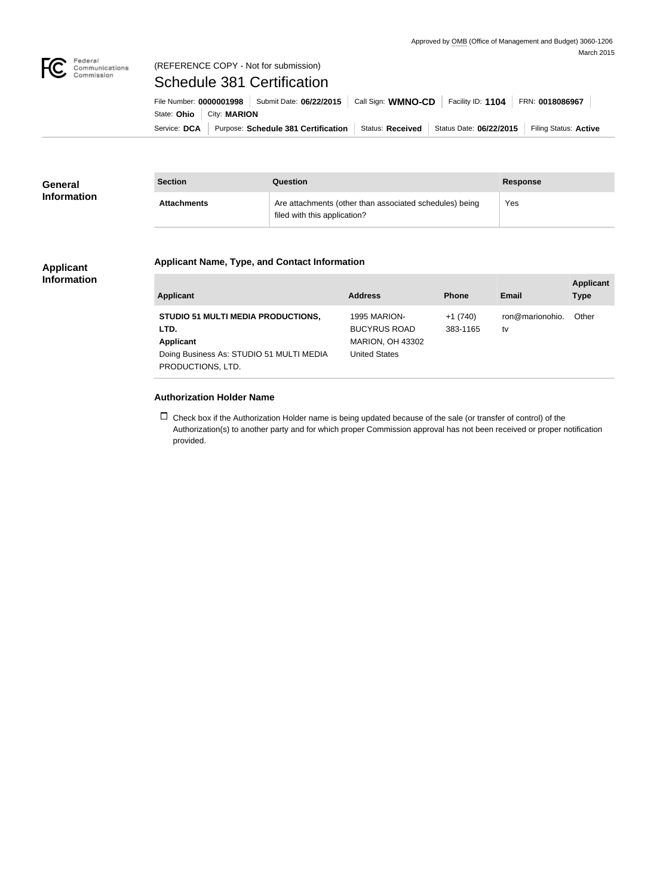

#### Federal<br>Communications<br>Commission (REFERENCE COPY - Not for submission)

# Schedule 381 Certification

| File Number: 0000001998   Submit Date: 06/22/2015   Call Sign: WMNO-CD |  | Facility ID: $1104$ FRN: 0018086967 |                                                                    |  |
|------------------------------------------------------------------------|--|-------------------------------------|--------------------------------------------------------------------|--|
| State: Ohio   City: MARION                                             |  |                                     |                                                                    |  |
| Service: DCA Purpose: Schedule 381 Certification                       |  |                                     | Status: Received   Status Date: 06/22/2015   Filing Status: Active |  |

| <b>General</b>     | <b>Section</b>     | Question                                                                                | <b>Response</b> |
|--------------------|--------------------|-----------------------------------------------------------------------------------------|-----------------|
| <b>Information</b> | <b>Attachments</b> | Are attachments (other than associated schedules) being<br>filed with this application? | Yes             |

#### **Applicant Information**

## **Applicant Name, Type, and Contact Information**

| Applicant                                                                                                                              | <b>Address</b>                                                                         | <b>Phone</b>          | Email                 | <b>Applicant</b><br><b>Type</b> |
|----------------------------------------------------------------------------------------------------------------------------------------|----------------------------------------------------------------------------------------|-----------------------|-----------------------|---------------------------------|
| <b>STUDIO 51 MULTI MEDIA PRODUCTIONS,</b><br>LTD.<br><b>Applicant</b><br>Doing Business As: STUDIO 51 MULTI MEDIA<br>PRODUCTIONS, LTD. | 1995 MARION-<br><b>BUCYRUS ROAD</b><br><b>MARION, OH 43302</b><br><b>United States</b> | $+1(740)$<br>383-1165 | ron@marionohio.<br>tv | Other                           |

### **Authorization Holder Name**

 $\Box$  Check box if the Authorization Holder name is being updated because of the sale (or transfer of control) of the Authorization(s) to another party and for which proper Commission approval has not been received or proper notification provided.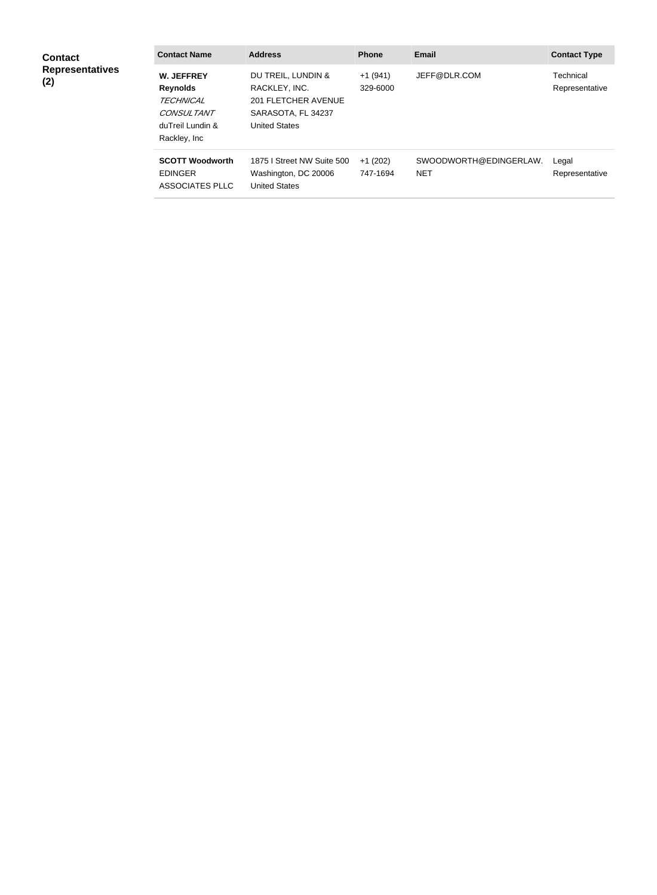| <b>Contact</b>                | <b>Contact Name</b>                                                                                                | <b>Address</b>                                                                                           | <b>Phone</b>          | Email                                | <b>Contact Type</b>         |
|-------------------------------|--------------------------------------------------------------------------------------------------------------------|----------------------------------------------------------------------------------------------------------|-----------------------|--------------------------------------|-----------------------------|
| <b>Representatives</b><br>(2) | <b>W. JEFFREY</b><br><b>Reynolds</b><br><b>TECHNICAL</b><br><b>CONSULTANT</b><br>duTreil Lundin &<br>Rackley, Inc. | DU TREIL, LUNDIN &<br>RACKLEY, INC.<br>201 FLETCHER AVENUE<br>SARASOTA, FL 34237<br><b>United States</b> | $+1(941)$<br>329-6000 | JEFF@DLR.COM                         | Technical<br>Representative |
|                               | <b>SCOTT Woodworth</b><br><b>EDINGER</b><br><b>ASSOCIATES PLLC</b>                                                 | 1875   Street NW Suite 500<br>Washington, DC 20006<br><b>United States</b>                               | $+1(202)$<br>747-1694 | SWOODWORTH@EDINGERLAW.<br><b>NET</b> | Legal<br>Representative     |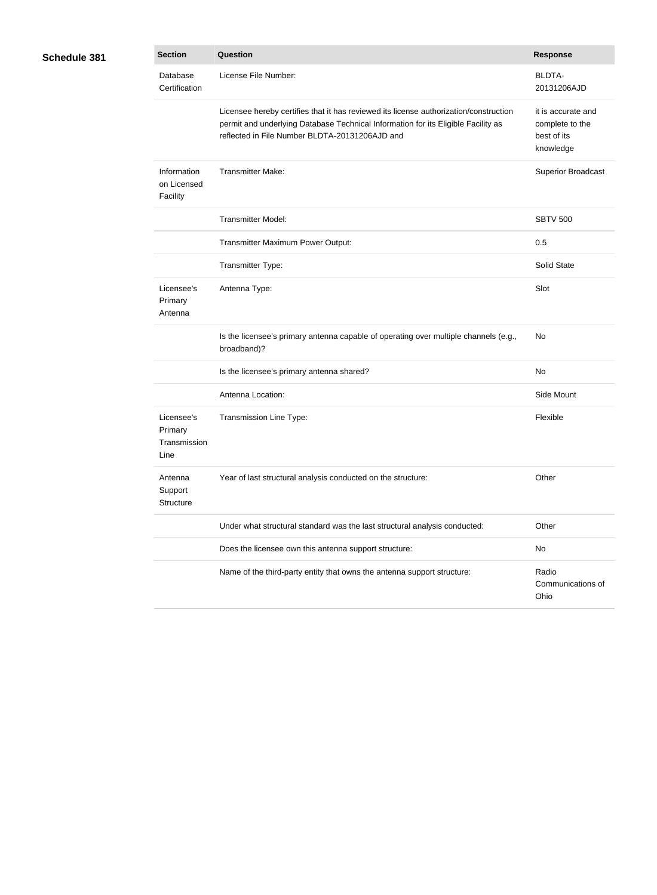| <b>Schedule 381</b> |  |
|---------------------|--|

| 81 | <b>Section</b>                                | <b>Question</b>                                                                                                                                                                                                              | <b>Response</b>                                                   |
|----|-----------------------------------------------|------------------------------------------------------------------------------------------------------------------------------------------------------------------------------------------------------------------------------|-------------------------------------------------------------------|
|    | Database<br>Certification                     | License File Number:                                                                                                                                                                                                         | <b>BLDTA-</b><br>20131206AJD                                      |
|    |                                               | Licensee hereby certifies that it has reviewed its license authorization/construction<br>permit and underlying Database Technical Information for its Eligible Facility as<br>reflected in File Number BLDTA-20131206AJD and | it is accurate and<br>complete to the<br>best of its<br>knowledge |
|    | Information<br>on Licensed<br>Facility        | <b>Transmitter Make:</b>                                                                                                                                                                                                     | <b>Superior Broadcast</b>                                         |
|    |                                               | <b>Transmitter Model:</b>                                                                                                                                                                                                    | <b>SBTV 500</b>                                                   |
|    |                                               | Transmitter Maximum Power Output:                                                                                                                                                                                            | 0.5                                                               |
|    |                                               | Transmitter Type:                                                                                                                                                                                                            | Solid State                                                       |
|    | Licensee's<br>Primary<br>Antenna              | Antenna Type:                                                                                                                                                                                                                | Slot                                                              |
|    |                                               | Is the licensee's primary antenna capable of operating over multiple channels (e.g.,<br>broadband)?                                                                                                                          | No                                                                |
|    |                                               | Is the licensee's primary antenna shared?                                                                                                                                                                                    | No                                                                |
|    |                                               | Antenna Location:                                                                                                                                                                                                            | Side Mount                                                        |
|    | Licensee's<br>Primary<br>Transmission<br>Line | Transmission Line Type:                                                                                                                                                                                                      | Flexible                                                          |
|    | Antenna<br>Support<br>Structure               | Year of last structural analysis conducted on the structure:                                                                                                                                                                 | Other                                                             |
|    |                                               | Under what structural standard was the last structural analysis conducted:                                                                                                                                                   | Other                                                             |
|    |                                               | Does the licensee own this antenna support structure:                                                                                                                                                                        | No                                                                |
|    |                                               | Name of the third-party entity that owns the antenna support structure:                                                                                                                                                      | Radio<br>Communications of<br>Ohio                                |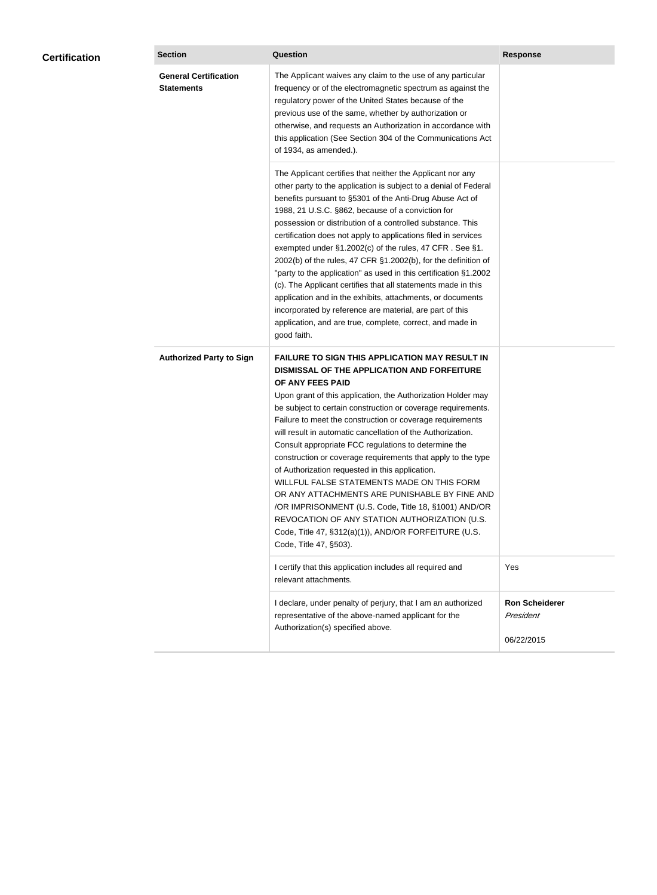|  | <b>General Certification</b><br><b>Statements</b> | The Applicant waives any claim to the use of any particular<br>frequency or of the electromagnetic spectrum as against the<br>regulatory power of the United States because of the<br>previous use of the same, whether by authorization or<br>otherwise, and requests an Authorization in accordance with<br>this application (See Section 304 of the Communications Act<br>of 1934, as amended.).                                                                                                                                                                                                                                                                                                                                                                                                                                                       |                                                  |
|--|---------------------------------------------------|-----------------------------------------------------------------------------------------------------------------------------------------------------------------------------------------------------------------------------------------------------------------------------------------------------------------------------------------------------------------------------------------------------------------------------------------------------------------------------------------------------------------------------------------------------------------------------------------------------------------------------------------------------------------------------------------------------------------------------------------------------------------------------------------------------------------------------------------------------------|--------------------------------------------------|
|  |                                                   | The Applicant certifies that neither the Applicant nor any<br>other party to the application is subject to a denial of Federal<br>benefits pursuant to §5301 of the Anti-Drug Abuse Act of<br>1988, 21 U.S.C. §862, because of a conviction for<br>possession or distribution of a controlled substance. This<br>certification does not apply to applications filed in services<br>exempted under §1.2002(c) of the rules, 47 CFR. See §1.<br>2002(b) of the rules, 47 CFR §1.2002(b), for the definition of<br>"party to the application" as used in this certification §1.2002<br>(c). The Applicant certifies that all statements made in this<br>application and in the exhibits, attachments, or documents<br>incorporated by reference are material, are part of this<br>application, and are true, complete, correct, and made in<br>good faith.   |                                                  |
|  | <b>Authorized Party to Sign</b>                   | <b>FAILURE TO SIGN THIS APPLICATION MAY RESULT IN</b><br>DISMISSAL OF THE APPLICATION AND FORFEITURE<br>OF ANY FEES PAID<br>Upon grant of this application, the Authorization Holder may<br>be subject to certain construction or coverage requirements.<br>Failure to meet the construction or coverage requirements<br>will result in automatic cancellation of the Authorization.<br>Consult appropriate FCC regulations to determine the<br>construction or coverage requirements that apply to the type<br>of Authorization requested in this application.<br>WILLFUL FALSE STATEMENTS MADE ON THIS FORM<br>OR ANY ATTACHMENTS ARE PUNISHABLE BY FINE AND<br>/OR IMPRISONMENT (U.S. Code, Title 18, §1001) AND/OR<br>REVOCATION OF ANY STATION AUTHORIZATION (U.S.<br>Code, Title 47, §312(a)(1)), AND/OR FORFEITURE (U.S.<br>Code, Title 47, §503). |                                                  |
|  |                                                   | I certify that this application includes all required and<br>relevant attachments.                                                                                                                                                                                                                                                                                                                                                                                                                                                                                                                                                                                                                                                                                                                                                                        | Yes                                              |
|  |                                                   | I declare, under penalty of perjury, that I am an authorized<br>representative of the above-named applicant for the<br>Authorization(s) specified above.                                                                                                                                                                                                                                                                                                                                                                                                                                                                                                                                                                                                                                                                                                  | <b>Ron Scheiderer</b><br>President<br>06/22/2015 |